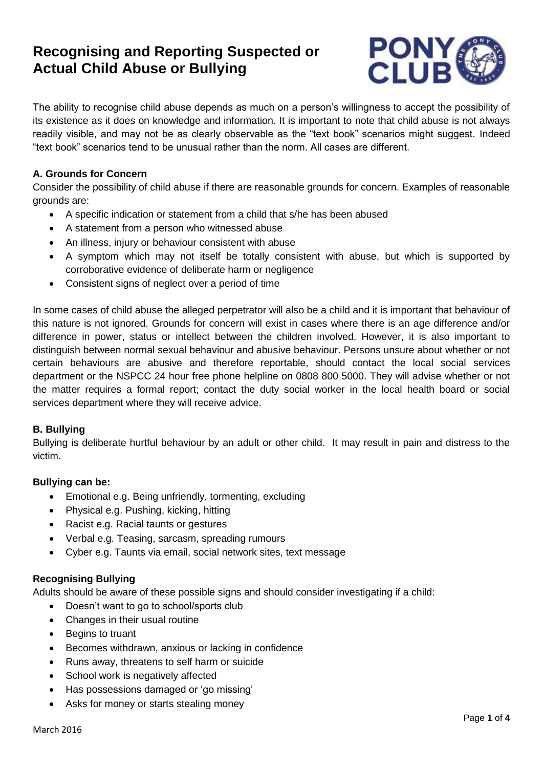# **Recognising and Reporting Suspected or Actual Child Abuse or Bullying**



The ability to recognise child abuse depends as much on a person's willingness to accept the possibility of its existence as it does on knowledge and information. It is important to note that child abuse is not always readily visible, and may not be as clearly observable as the "text book" scenarios might suggest. Indeed "text book" scenarios tend to be unusual rather than the norm. All cases are different.

# **A. Grounds for Concern**

Consider the possibility of child abuse if there are reasonable grounds for concern. Examples of reasonable grounds are:

- A specific indication or statement from a child that s/he has been abused
- A statement from a person who witnessed abuse
- An illness, injury or behaviour consistent with abuse
- A symptom which may not itself be totally consistent with abuse, but which is supported by corroborative evidence of deliberate harm or negligence
- Consistent signs of neglect over a period of time

In some cases of child abuse the alleged perpetrator will also be a child and it is important that behaviour of this nature is not ignored. Grounds for concern will exist in cases where there is an age difference and/or difference in power, status or intellect between the children involved. However, it is also important to distinguish between normal sexual behaviour and abusive behaviour. Persons unsure about whether or not certain behaviours are abusive and therefore reportable, should contact the local social services department or the NSPCC 24 hour free phone helpline on 0808 800 5000. They will advise whether or not the matter requires a formal report; contact the duty social worker in the local health board or social services department where they will receive advice.

#### **B. Bullying**

Bullying is deliberate hurtful behaviour by an adult or other child. It may result in pain and distress to the victim.

# **Bullying can be:**

- Emotional e.g. Being unfriendly, tormenting, excluding
- Physical e.g. Pushing, kicking, hitting
- Racist e.g. Racial taunts or gestures
- Verbal e.g. Teasing, sarcasm, spreading rumours
- Cyber e.g. Taunts via email, social network sites, text message

# **Recognising Bullying**

Adults should be aware of these possible signs and should consider investigating if a child:

- Doesn't want to go to school/sports club
- Changes in their usual routine
- Begins to truant
- Becomes withdrawn, anxious or lacking in confidence
- Runs away, threatens to self harm or suicide
- School work is negatively affected
- Has possessions damaged or 'go missing'
- Asks for money or starts stealing money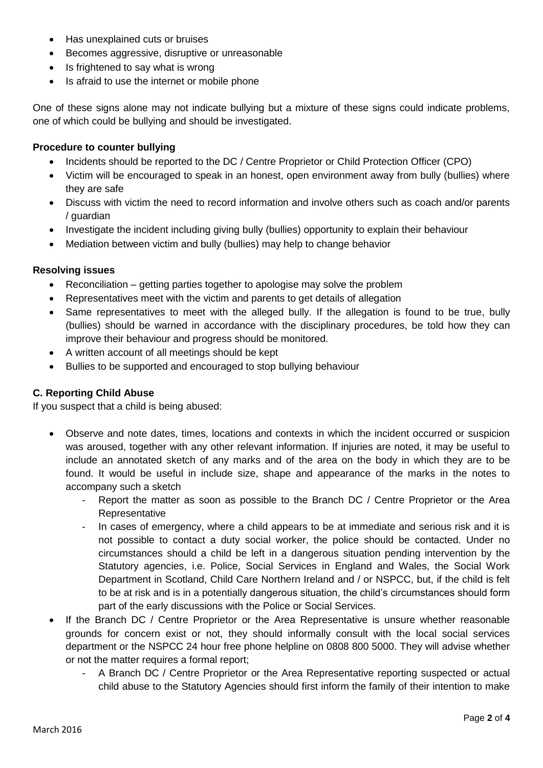- Has unexplained cuts or bruises
- Becomes aggressive, disruptive or unreasonable
- Is frightened to say what is wrong
- Is afraid to use the internet or mobile phone

One of these signs alone may not indicate bullying but a mixture of these signs could indicate problems, one of which could be bullying and should be investigated.

#### **Procedure to counter bullying**

- Incidents should be reported to the DC / Centre Proprietor or Child Protection Officer (CPO)
- Victim will be encouraged to speak in an honest, open environment away from bully (bullies) where they are safe
- Discuss with victim the need to record information and involve others such as coach and/or parents / guardian
- Investigate the incident including giving bully (bullies) opportunity to explain their behaviour
- Mediation between victim and bully (bullies) may help to change behavior

#### **Resolving issues**

- Reconciliation getting parties together to apologise may solve the problem
- Representatives meet with the victim and parents to get details of allegation
- Same representatives to meet with the alleged bully. If the allegation is found to be true, bully (bullies) should be warned in accordance with the disciplinary procedures, be told how they can improve their behaviour and progress should be monitored.
- A written account of all meetings should be kept
- Bullies to be supported and encouraged to stop bullying behaviour

#### **C. Reporting Child Abuse**

If you suspect that a child is being abused:

- Observe and note dates, times, locations and contexts in which the incident occurred or suspicion was aroused, together with any other relevant information. If injuries are noted, it may be useful to include an annotated sketch of any marks and of the area on the body in which they are to be found. It would be useful in include size, shape and appearance of the marks in the notes to accompany such a sketch
	- Report the matter as soon as possible to the Branch DC / Centre Proprietor or the Area Representative
	- In cases of emergency, where a child appears to be at immediate and serious risk and it is not possible to contact a duty social worker, the police should be contacted. Under no circumstances should a child be left in a dangerous situation pending intervention by the Statutory agencies, i.e. Police, Social Services in England and Wales, the Social Work Department in Scotland, Child Care Northern Ireland and / or NSPCC, but, if the child is felt to be at risk and is in a potentially dangerous situation, the child's circumstances should form part of the early discussions with the Police or Social Services.
- If the Branch DC / Centre Proprietor or the Area Representative is unsure whether reasonable grounds for concern exist or not, they should informally consult with the local social services department or the NSPCC 24 hour free phone helpline on 0808 800 5000. They will advise whether or not the matter requires a formal report;
	- A Branch DC / Centre Proprietor or the Area Representative reporting suspected or actual child abuse to the Statutory Agencies should first inform the family of their intention to make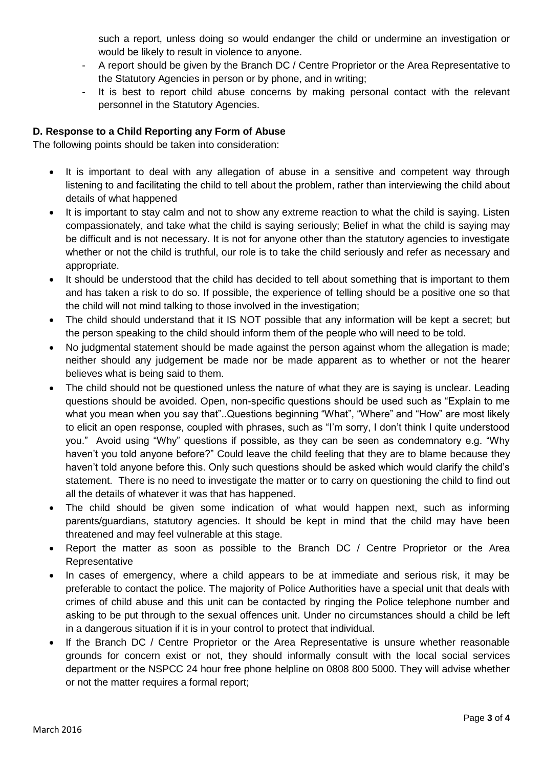such a report, unless doing so would endanger the child or undermine an investigation or would be likely to result in violence to anyone.

- A report should be given by the Branch DC / Centre Proprietor or the Area Representative to the Statutory Agencies in person or by phone, and in writing;
- It is best to report child abuse concerns by making personal contact with the relevant personnel in the Statutory Agencies.

# **D. Response to a Child Reporting any Form of Abuse**

The following points should be taken into consideration:

- It is important to deal with any allegation of abuse in a sensitive and competent way through listening to and facilitating the child to tell about the problem, rather than interviewing the child about details of what happened
- It is important to stay calm and not to show any extreme reaction to what the child is saying. Listen compassionately, and take what the child is saying seriously; Belief in what the child is saying may be difficult and is not necessary. It is not for anyone other than the statutory agencies to investigate whether or not the child is truthful, our role is to take the child seriously and refer as necessary and appropriate.
- It should be understood that the child has decided to tell about something that is important to them and has taken a risk to do so. If possible, the experience of telling should be a positive one so that the child will not mind talking to those involved in the investigation;
- The child should understand that it IS NOT possible that any information will be kept a secret; but the person speaking to the child should inform them of the people who will need to be told.
- No judgmental statement should be made against the person against whom the allegation is made; neither should any judgement be made nor be made apparent as to whether or not the hearer believes what is being said to them.
- The child should not be questioned unless the nature of what they are is saying is unclear. Leading questions should be avoided. Open, non-specific questions should be used such as "Explain to me what you mean when you say that"..Questions beginning "What", "Where" and "How" are most likely to elicit an open response, coupled with phrases, such as "I'm sorry, I don't think I quite understood you." Avoid using "Why" questions if possible, as they can be seen as condemnatory e.g. "Why haven't you told anyone before?" Could leave the child feeling that they are to blame because they haven't told anyone before this. Only such questions should be asked which would clarify the child's statement. There is no need to investigate the matter or to carry on questioning the child to find out all the details of whatever it was that has happened.
- The child should be given some indication of what would happen next, such as informing parents/guardians, statutory agencies. It should be kept in mind that the child may have been threatened and may feel vulnerable at this stage.
- Report the matter as soon as possible to the Branch DC / Centre Proprietor or the Area **Representative**
- In cases of emergency, where a child appears to be at immediate and serious risk, it may be preferable to contact the police. The majority of Police Authorities have a special unit that deals with crimes of child abuse and this unit can be contacted by ringing the Police telephone number and asking to be put through to the sexual offences unit. Under no circumstances should a child be left in a dangerous situation if it is in your control to protect that individual.
- If the Branch DC / Centre Proprietor or the Area Representative is unsure whether reasonable grounds for concern exist or not, they should informally consult with the local social services department or the NSPCC 24 hour free phone helpline on 0808 800 5000. They will advise whether or not the matter requires a formal report;